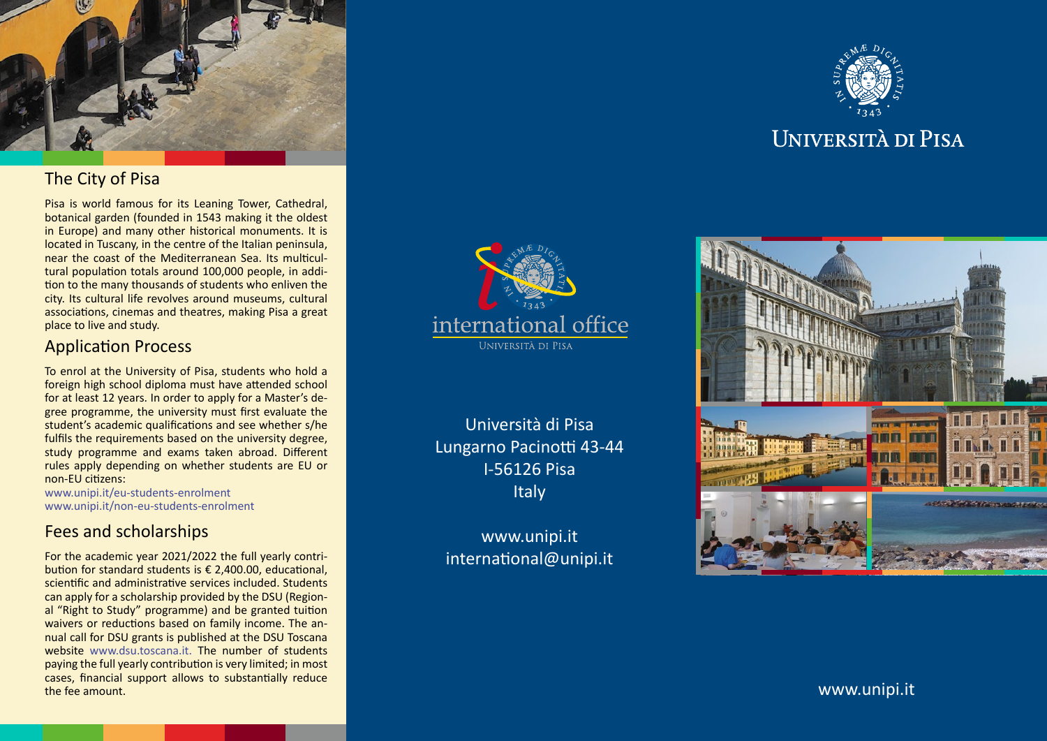

# The City of Pisa

Pisa is world famous for its Leaning Tower, Cathedral, botanical garden (founded in 1543 making it the oldest in Europe) and many other historical monuments. It is located in Tuscany, in the centre of the Italian peninsula, near the coast of the Mediterranean Sea. Its multicul tural population totals around 100,000 people, in addi tion to the many thousands of students who enliven the city. Its cultural life revolves around museums, cultural associations, cinemas and theatres, making Pisa a great place to live and study.

# Application Process

To enrol at the University of Pisa, students who hold a foreign high school diploma must have attended school for at least 12 years. In order to apply for a Master's de gree programme, the university must first evaluate the student's academic qualifications and see whether s/he fulfils the requirements based on the university degree, study programme and exams taken abroad. Different rules apply depending on whether students are EU or non-EU citizens:

[www.unipi.it/eu-students-enrolment](http://www.unipi.it/eu-students-enrolment) [www.unipi.it/non-eu-students-enrolment](http://www.unipi.it/non-eu-students-enrolment)

# Fees and scholarships

For the academic year 2021/2022 the full yearly contri bution for standard students is € 2,400.00, educational, scientific and administrative services included. Students can apply for a scholarship provided by the DSU (Region al "Right to Study" programme) and be granted tuition waivers or reductions based on family income. The an nual call for DSU grants is published at the DSU Toscana website [www.dsu.toscana.it.](http://www.dsu.toscana.it) The number of students paying the full yearly contribution is very limited; in most cases, financial support allows to substantially reduce the fee amount.



Università di Pisa Lungarno Pacinotti 43-44 I-56126 Pisa **Italy** 

[www.unipi.it](http://www.unipi.it) [international@unipi.it](mailto:international%40unipi.it?subject=)



# **UNIVERSITÀ DI PISA**



[www.unipi.it](http://www.unipi.it)